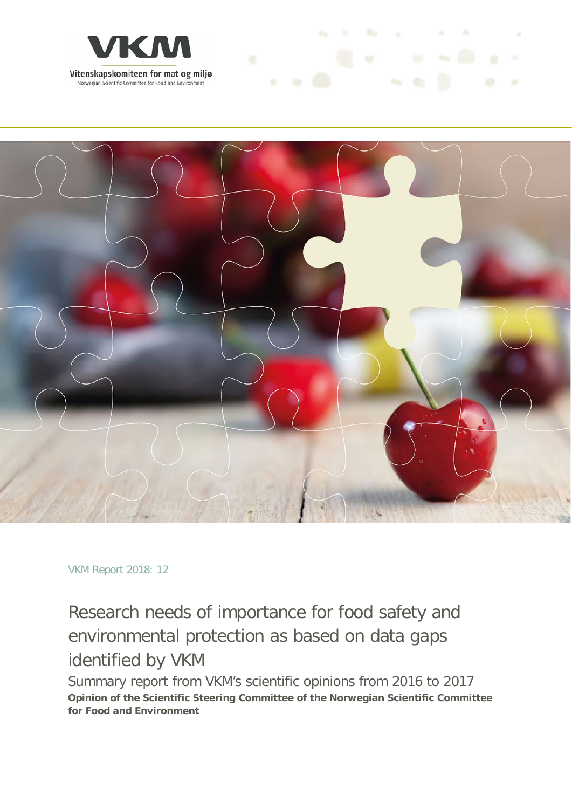



and the first process of the

VKM Report 2018: 12

# Research needs of importance for food safety and environmental protection as based on data gaps identified by VKM

Summary report from VKM's scientific opinions from 2016 to 2017 **Opinion of the Scientific Steering Committee of the Norwegian Scientific Committee for Food and Environment**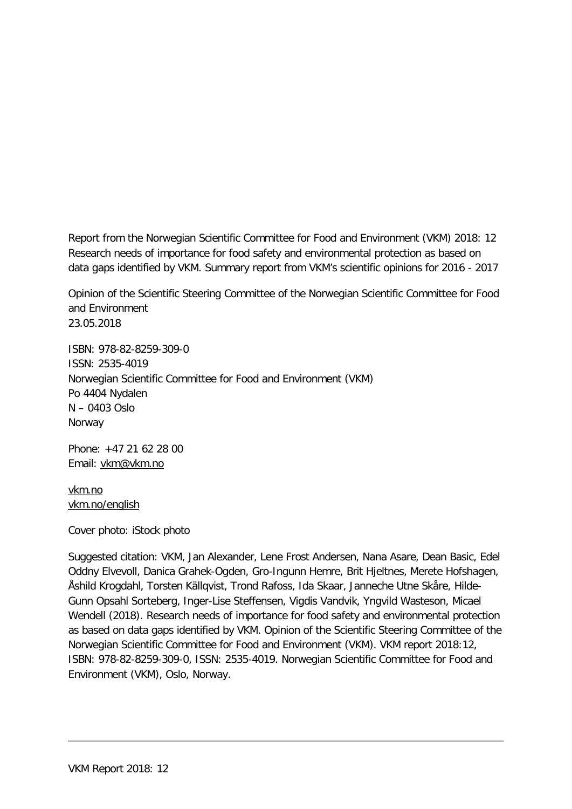Report from the Norwegian Scientific Committee for Food and Environment (VKM) 2018: 12 Research needs of importance for food safety and environmental protection as based on data gaps identified by VKM. Summary report from VKM's scientific opinions for 2016 - 2017

Opinion of the Scientific Steering Committee of the Norwegian Scientific Committee for Food and Environment 23.05.2018

ISBN: 978-82-8259-309-0 ISSN: 2535-4019 Norwegian Scientific Committee for Food and Environment (VKM) Po 4404 Nydalen N – 0403 Oslo Norway

Phone: +47 21 62 28 00 Email: [vkm@vkm.no](mailto:vkm@vkm.no)

[vkm.no](https://vkm.no/) [vkm.no/english](https://vkm.no/english)

Cover photo: iStock photo

Suggested citation: VKM, Jan Alexander, Lene Frost Andersen, Nana Asare, Dean Basic, Edel Oddny Elvevoll, Danica Grahek-Ogden, Gro-Ingunn Hemre, Brit Hjeltnes, Merete Hofshagen, Åshild Krogdahl, Torsten Källqvist, Trond Rafoss, Ida Skaar, Janneche Utne Skåre, Hilde-Gunn Opsahl Sorteberg, Inger-Lise Steffensen, Vigdis Vandvik, Yngvild Wasteson, Micael Wendell (2018). Research needs of importance for food safety and environmental protection as based on data gaps identified by VKM. Opinion of the Scientific Steering Committee of the Norwegian Scientific Committee for Food and Environment (VKM). VKM report 2018:12, ISBN: 978-82-8259-309-0, ISSN: 2535-4019. Norwegian Scientific Committee for Food and Environment (VKM), Oslo, Norway.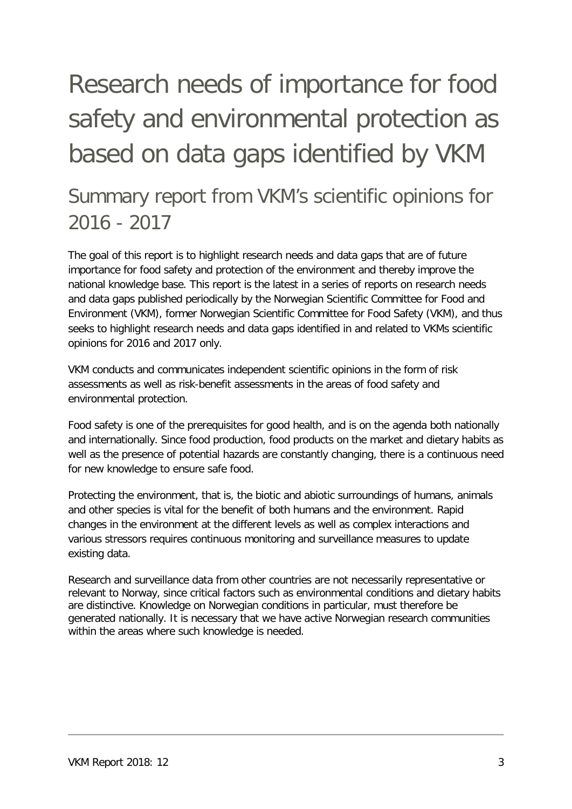# Research needs of importance for food safety and environmental protection as based on data gaps identified by VKM

# Summary report from VKM's scientific opinions for 2016 - 2017

The goal of this report is to highlight research needs and data gaps that are of future importance for food safety and protection of the environment and thereby improve the national knowledge base. This report is the latest in a series of reports on research needs and data gaps published periodically by the Norwegian Scientific Committee for Food and Environment (VKM), former Norwegian Scientific Committee for Food Safety (VKM), and thus seeks to highlight research needs and data gaps identified in and related to VKMs scientific opinions for 2016 and 2017 only.

VKM conducts and communicates independent scientific opinions in the form of risk assessments as well as risk-benefit assessments in the areas of food safety and environmental protection.

Food safety is one of the prerequisites for good health, and is on the agenda both nationally and internationally. Since food production, food products on the market and dietary habits as well as the presence of potential hazards are constantly changing, there is a continuous need for new knowledge to ensure safe food.

Protecting the environment, that is, the biotic and abiotic surroundings of humans, animals and other species is vital for the benefit of both humans and the environment. Rapid changes in the environment at the different levels as well as complex interactions and various stressors requires continuous monitoring and surveillance measures to update existing data.

Research and surveillance data from other countries are not necessarily representative or relevant to Norway, since critical factors such as environmental conditions and dietary habits are distinctive. Knowledge on Norwegian conditions in particular, must therefore be generated nationally. It is necessary that we have active Norwegian research communities within the areas where such knowledge is needed.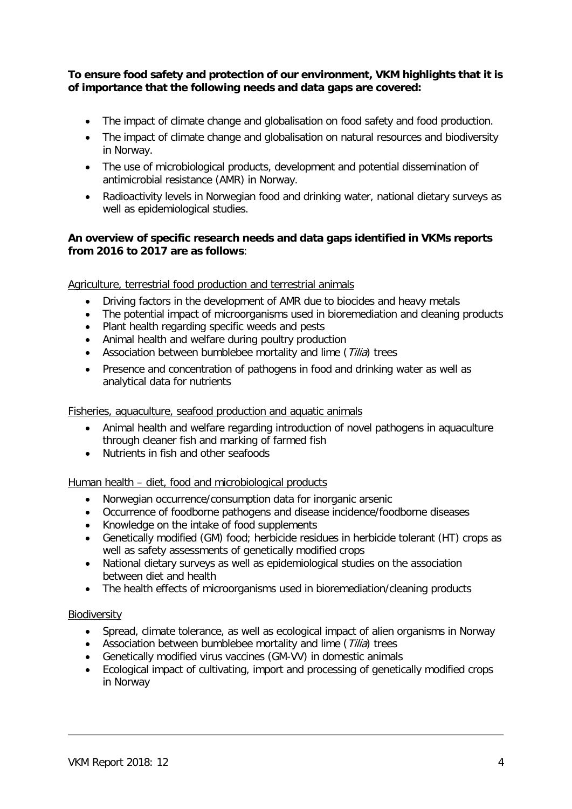#### **To ensure food safety and protection of our environment, VKM highlights that it is of importance that the following needs and data gaps are covered:**

- The impact of climate change and globalisation on food safety and food production.
- The impact of climate change and globalisation on natural resources and biodiversity in Norway.
- The use of microbiological products, development and potential dissemination of antimicrobial resistance (AMR) in Norway.
- Radioactivity levels in Norwegian food and drinking water, national dietary surveys as well as epidemiological studies.

#### **An overview of specific research needs and data gaps identified in VKMs reports from 2016 to 2017 are as follows**:

Agriculture, terrestrial food production and terrestrial animals

- Driving factors in the development of AMR due to biocides and heavy metals
- The potential impact of microorganisms used in bioremediation and cleaning products
- Plant health regarding specific weeds and pests
- Animal health and welfare during poultry production
- Association between bumblebee mortality and lime  $(Tilia)$  trees
- Presence and concentration of pathogens in food and drinking water as well as analytical data for nutrients

#### Fisheries, aquaculture, seafood production and aquatic animals

- Animal health and welfare regarding introduction of novel pathogens in aquaculture through cleaner fish and marking of farmed fish
- Nutrients in fish and other seafoods

#### Human health – diet, food and microbiological products

- Norwegian occurrence/consumption data for inorganic arsenic
- Occurrence of foodborne pathogens and disease incidence/foodborne diseases
- Knowledge on the intake of food supplements
- Genetically modified (GM) food; herbicide residues in herbicide tolerant (HT) crops as well as safety assessments of genetically modified crops
- National dietary surveys as well as epidemiological studies on the association between diet and health
- The health effects of microorganisms used in bioremediation/cleaning products

#### Biodiversity

- Spread, climate tolerance, as well as ecological impact of alien organisms in Norway
- Association between bumblebee mortality and lime (Tilia) trees
- Genetically modified virus vaccines (GM-VV) in domestic animals
- Ecological impact of cultivating, import and processing of genetically modified crops in Norway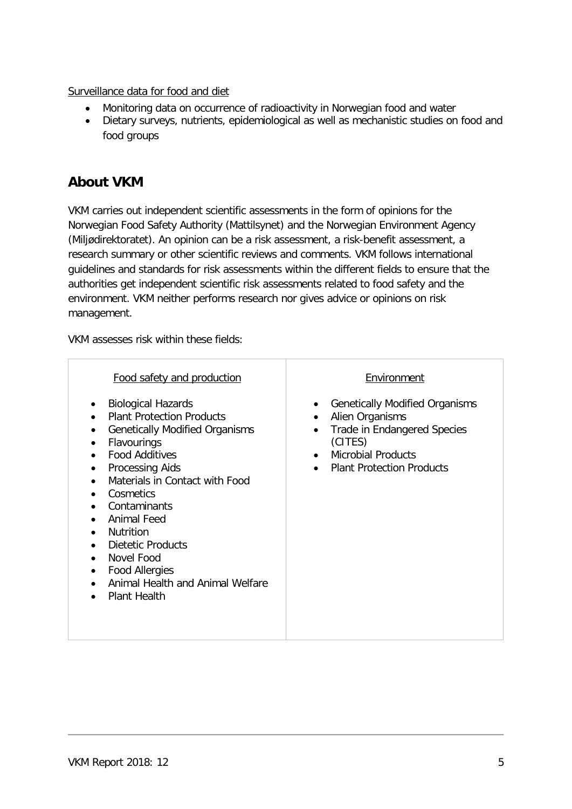Surveillance data for food and diet

- Monitoring data on occurrence of radioactivity in Norwegian food and water
- Dietary surveys, nutrients, epidemiological as well as mechanistic studies on food and food groups

# **About VKM**

VKM carries out independent scientific assessments in the form of opinions for the Norwegian Food Safety Authority (Mattilsynet) and the Norwegian Environment Agency (Miljødirektoratet). An opinion can be a risk assessment, a risk-benefit assessment, a research summary or other scientific reviews and comments. VKM follows international guidelines and standards for risk assessments within the different fields to ensure that the authorities get independent scientific risk assessments related to food safety and the environment. VKM neither performs research nor gives advice or opinions on risk management.

VKM assesses risk within these fields:

| Food safety and production                                                                                                                                                                                                                                                                                                                                                                                             | Environment                                                                                                                                                                                                            |
|------------------------------------------------------------------------------------------------------------------------------------------------------------------------------------------------------------------------------------------------------------------------------------------------------------------------------------------------------------------------------------------------------------------------|------------------------------------------------------------------------------------------------------------------------------------------------------------------------------------------------------------------------|
| <b>Biological Hazards</b><br><b>Plant Protection Products</b><br><b>Genetically Modified Organisms</b><br><b>Flavourings</b><br><b>Food Additives</b><br><b>Processing Aids</b><br>Materials in Contact with Food<br>Cosmetics<br>Contaminants<br><b>Animal Feed</b><br><b>Nutrition</b><br><b>Dietetic Products</b><br>Novel Food<br><b>Food Allergies</b><br>Animal Health and Animal Welfare<br><b>Plant Health</b> | <b>Genetically Modified Organisms</b><br>Alien Organisms<br>$\bullet$<br><b>Trade in Endangered Species</b><br>٠<br>(CITES)<br><b>Microbial Products</b><br>$\bullet$<br><b>Plant Protection Products</b><br>$\bullet$ |